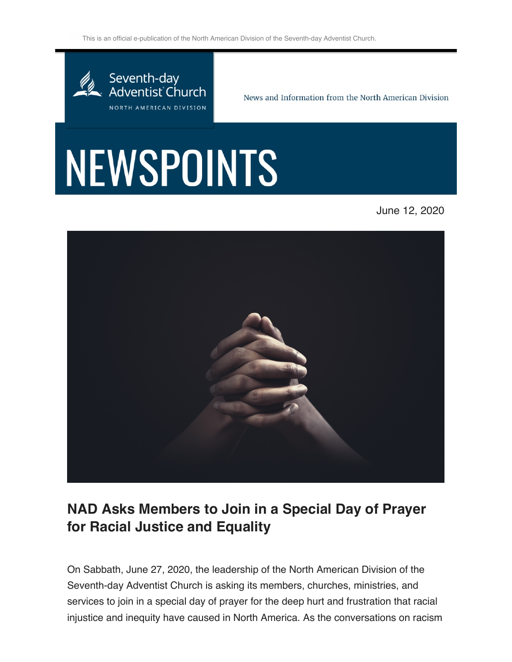This is an official e-publication of the North American Division of the Seventh-day Adventist Church.



News and Information from the North American Division

## NEWSPOINTS

June 12, 2020



## **NAD Asks Members to Join in a Special Day of Prayer for Racial Justice and Equality**

On Sabbath, June 27, 2020, the leadership of the North American Division of the Seventh-day Adventist Church is asking its members, churches, ministries, and services to join in a special day of prayer for the deep hurt and frustration that racial injustice and inequity have caused in North America. As the conversations on racism